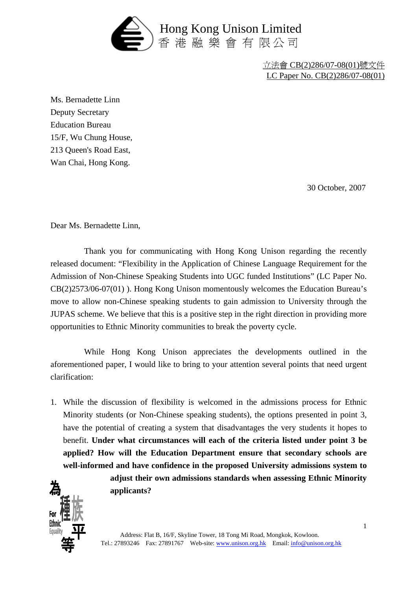

立法會 CB(2)286/07-08(01)號文件 LC Paper No. CB(2)286/07-08(01)

Ms. Bernadette Linn Deputy Secretary Education Bureau 15/F, Wu Chung House, 213 Queen's Road East, Wan Chai, Hong Kong.

30 October, 2007

Dear Ms. Bernadette Linn,

 Thank you for communicating with Hong Kong Unison regarding the recently released document: "Flexibility in the Application of Chinese Language Requirement for the Admission of Non-Chinese Speaking Students into UGC funded Institutions" (LC Paper No. CB(2)2573/06-07(01) ). Hong Kong Unison momentously welcomes the Education Bureau's move to allow non-Chinese speaking students to gain admission to University through the JUPAS scheme. We believe that this is a positive step in the right direction in providing more opportunities to Ethnic Minority communities to break the poverty cycle.

 While Hong Kong Unison appreciates the developments outlined in the aforementioned paper, I would like to bring to your attention several points that need urgent clarification:

1. While the discussion of flexibility is welcomed in the admissions process for Ethnic Minority students (or Non-Chinese speaking students), the options presented in point 3, have the potential of creating a system that disadvantages the very students it hopes to benefit. **Under what circumstances will each of the criteria listed under point 3 be applied? How will the Education Department ensure that secondary schools are well-informed and have confidence in the proposed University admissions system to** 



**adjust their own admissions standards when assessing Ethnic Minority applicants?**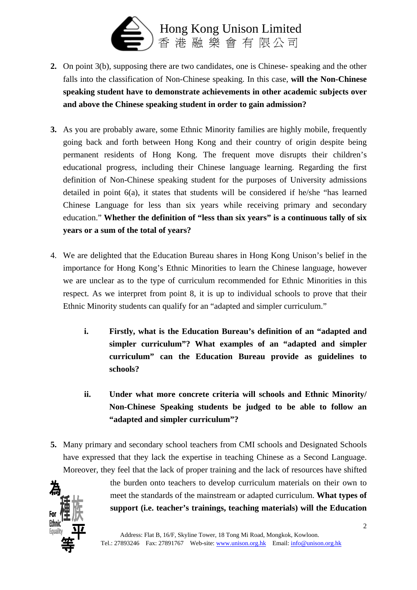

- **2.** On point 3(b), supposing there are two candidates, one is Chinese- speaking and the other falls into the classification of Non-Chinese speaking. In this case, **will the Non-Chinese speaking student have to demonstrate achievements in other academic subjects over and above the Chinese speaking student in order to gain admission?**
- **3.** As you are probably aware, some Ethnic Minority families are highly mobile, frequently going back and forth between Hong Kong and their country of origin despite being permanent residents of Hong Kong. The frequent move disrupts their children's educational progress, including their Chinese language learning. Regarding the first definition of Non-Chinese speaking student for the purposes of University admissions detailed in point  $6(a)$ , it states that students will be considered if he/she "has learned Chinese Language for less than six years while receiving primary and secondary education." **Whether the definition of "less than six years" is a continuous tally of six years or a sum of the total of years?**
- 4. We are delighted that the Education Bureau shares in Hong Kong Unison's belief in the importance for Hong Kong's Ethnic Minorities to learn the Chinese language, however we are unclear as to the type of curriculum recommended for Ethnic Minorities in this respect. As we interpret from point 8, it is up to individual schools to prove that their Ethnic Minority students can qualify for an "adapted and simpler curriculum."
	- **i. Firstly, what is the Education Bureau's definition of an "adapted and simpler curriculum"? What examples of an "adapted and simpler curriculum" can the Education Bureau provide as guidelines to schools?**
	- **ii. Under what more concrete criteria will schools and Ethnic Minority/ Non-Chinese Speaking students be judged to be able to follow an "adapted and simpler curriculum"?**
- **5.** Many primary and secondary school teachers from CMI schools and Designated Schools have expressed that they lack the expertise in teaching Chinese as a Second Language. Moreover, they feel that the lack of proper training and the lack of resources have shifted



the burden onto teachers to develop curriculum materials on their own to meet the standards of the mainstream or adapted curriculum. **What types of support (i.e. teacher's trainings, teaching materials) will the Education**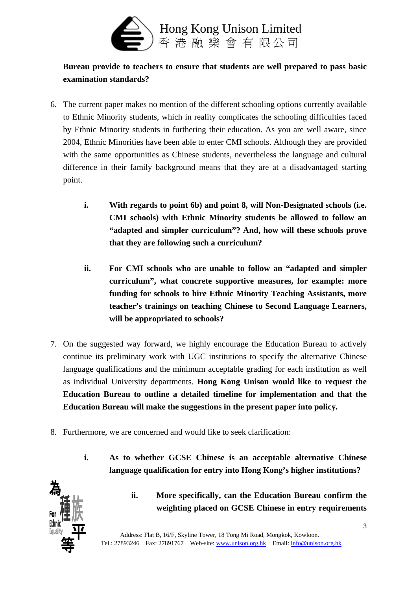

## **Bureau provide to teachers to ensure that students are well prepared to pass basic examination standards?**

- 6. The current paper makes no mention of the different schooling options currently available to Ethnic Minority students, which in reality complicates the schooling difficulties faced by Ethnic Minority students in furthering their education. As you are well aware, since 2004, Ethnic Minorities have been able to enter CMI schools. Although they are provided with the same opportunities as Chinese students, nevertheless the language and cultural difference in their family background means that they are at a disadvantaged starting point.
	- **i. With regards to point 6b) and point 8, will Non-Designated schools (i.e. CMI schools) with Ethnic Minority students be allowed to follow an "adapted and simpler curriculum"? And, how will these schools prove that they are following such a curriculum?**
	- **ii. For CMI schools who are unable to follow an "adapted and simpler curriculum", what concrete supportive measures, for example: more funding for schools to hire Ethnic Minority Teaching Assistants, more teacher's trainings on teaching Chinese to Second Language Learners, will be appropriated to schools?**
- 7. On the suggested way forward, we highly encourage the Education Bureau to actively continue its preliminary work with UGC institutions to specify the alternative Chinese language qualifications and the minimum acceptable grading for each institution as well as individual University departments. **Hong Kong Unison would like to request the Education Bureau to outline a detailed timeline for implementation and that the Education Bureau will make the suggestions in the present paper into policy.**
- 8. Furthermore, we are concerned and would like to seek clarification:
	- **i. As to whether GCSE Chinese is an acceptable alternative Chinese language qualification for entry into Hong Kong's higher institutions?**



**ii. More specifically, can the Education Bureau confirm the weighting placed on GCSE Chinese in entry requirements**